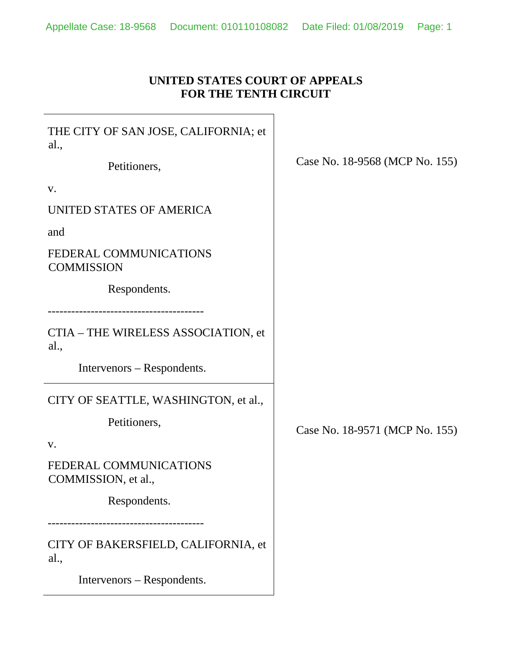### **UNITED STATES COURT OF APPEALS FOR THE TENTH CIRCUIT**

THE CITY OF SAN JOSE, CALIFORNIA; et al.,

Petitioners,

v.

UNITED STATES OF AMERICA

and

FEDERAL COMMUNICATIONS **COMMISSION** 

Respondents.

----------------------------------------

CTIA – THE WIRELESS ASSOCIATION, et al.,

Intervenors – Respondents.

CITY OF SEATTLE, WASHINGTON, et al.,

Petitioners,

v.

FEDERAL COMMUNICATIONS COMMISSION, et al.,

Respondents.

----------------------------------------

CITY OF BAKERSFIELD, CALIFORNIA, et al.,

Intervenors – Respondents.

Case No. 18-9568 (MCP No. 155)

Case No. 18-9571 (MCP No. 155)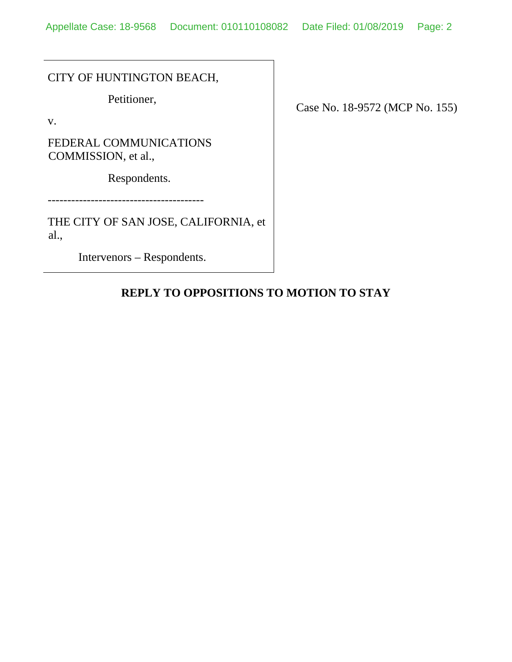CITY OF HUNTINGTON BEACH,

Petitioner,

v.

FEDERAL COMMUNICATIONS COMMISSION, et al.,

Respondents.

----------------------------------------

THE CITY OF SAN JOSE, CALIFORNIA, et al.,

Intervenors – Respondents.

Case No. 18-9572 (MCP No. 155)

# **REPLY TO OPPOSITIONS TO MOTION TO STAY**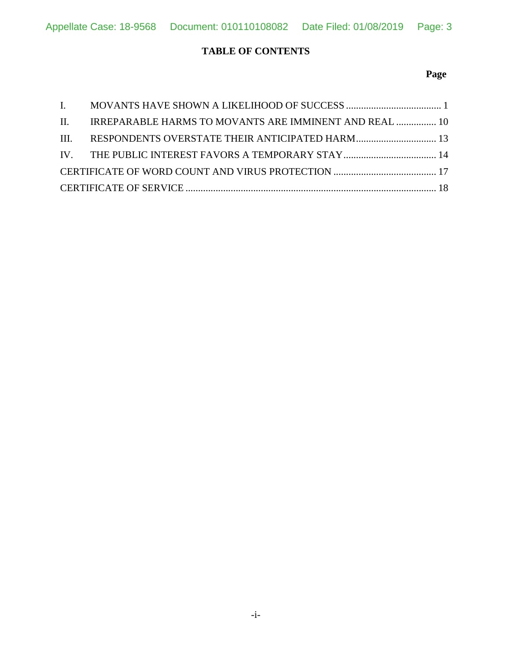### **TABLE OF CONTENTS**

### **Page**

|  | II. IRREPARABLE HARMS TO MOVANTS ARE IMMINENT AND REAL  10 |  |
|--|------------------------------------------------------------|--|
|  |                                                            |  |
|  |                                                            |  |
|  |                                                            |  |
|  |                                                            |  |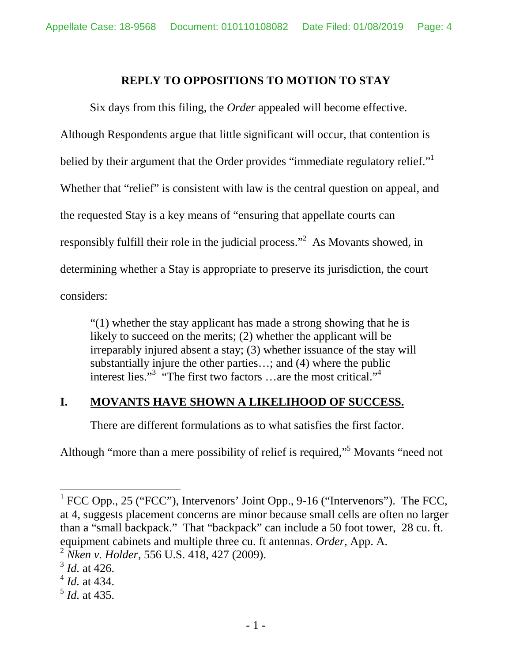# **REPLY TO OPPOSITIONS TO MOTION TO STAY**

Six days from this filing, the *Order* appealed will become effective. Although Respondents argue that little significant will occur, that contention is belied by their argument that the Order provides "immediate regulatory relief." Whether that "relief" is consistent with law is the central question on appeal, and the requested Stay is a key means of "ensuring that appellate courts can responsiblyfulfill their role in the judicial process."<sup>2</sup> As Movants showed, in determining whether a Stay is appropriate to preserve its jurisdiction, the court considers:

"(1) whether the stay applicant has made a strong showing that he is likely to succeed on the merits; (2) whether the applicant will be irreparably injured absent a stay; (3) whether issuance of the stay will substantially injure the other parties…; and (4) where the public interestlies."<sup>3</sup> "The first two factors ...are the most critical."<sup>[4](#page-3-3)</sup>

## **I. MOVANTS HAVE SHOWN A LIKELIHOOD OF SUCCESS.**

There are different formulations as to what satisfies the first factor.

Although"more than a mere possibility of relief is required,"<sup>5</sup> Movants "need not

<span id="page-3-0"></span><sup>&</sup>lt;sup>1</sup> FCC Opp., 25 ("FCC"), Intervenors' Joint Opp., 9-16 ("Intervenors"). The FCC, at 4, suggests placement concerns are minor because small cells are often no larger than a "small backpack." That "backpack" can include a 50 foot tower, 28 cu. ft. equipment cabinets and multiple three cu. ft antennas. *Order,* App. A.

<span id="page-3-1"></span><sup>2</sup> *Nken v. Holder*, 556 U.S. 418, 427 (2009).

<span id="page-3-2"></span><sup>3</sup> *Id.* at 426.

<span id="page-3-3"></span><sup>4</sup> *Id.* at 434.

<span id="page-3-4"></span><sup>5</sup>  *Id.* at 435.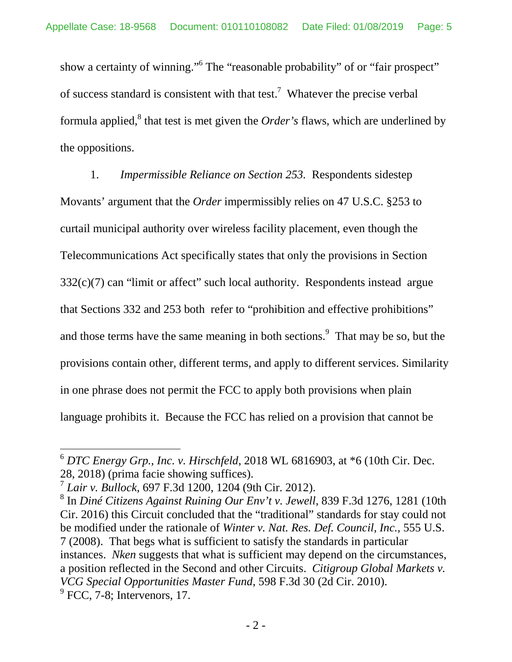show a certainty of winning."<sup>6</sup> [T](#page-4-0)he "reasonable probability" of or "fair prospect" ofsuccess standard is consistent with that test.<sup>7</sup> Whatever the precise verbal formulaapplied,<sup>8</sup> that test is met given the *Order's* flaws, which are underlined by the oppositions.

1. *Impermissible Reliance on Section 253.* Respondents sidestep Movants' argument that the *Order* impermissibly relies on 47 U.S.C. §253 to curtail municipal authority over wireless facility placement, even though the Telecommunications Act specifically states that only the provisions in Section  $332(c)(7)$  can "limit or affect" such local authority. Respondents instead argue that Sections 332 and 253 both refer to "prohibition and effective prohibitions" andthose terms have the same meaning in both sections. $\degree$  That may be so, but the provisions contain other, different terms, and apply to different services. Similarity in one phrase does not permit the FCC to apply both provisions when plain language prohibits it. Because the FCC has relied on a provision that cannot be

<span id="page-4-0"></span> $6$  *DTC Energy Grp., Inc. v. Hirschfeld*, 2018 WL 6816903, at  $*6$  (10th Cir. Dec. 28, 2018) (prima facie showing suffices).

<span id="page-4-1"></span><sup>7</sup> *Lair v. Bullock*, 697 F.3d 1200, 1204 (9th Cir. 2012).

<span id="page-4-3"></span><span id="page-4-2"></span><sup>8</sup> In *Diné Citizens Against Ruining Our Env't v. Jewell*, 839 F.3d 1276, 1281 (10th Cir. 2016) this Circuit concluded that the "traditional" standards for stay could not be modified under the rationale of *Winter v. Nat. Res. Def. Council, Inc.,* 555 U.S. 7 (2008). That begs what is sufficient to satisfy the standards in particular instances. *Nken* suggests that what is sufficient may depend on the circumstances, a position reflected in the Second and other Circuits. *Citigroup Global Markets v. VCG Special Opportunities Master Fund*, 598 F.3d 30 (2d Cir. 2010).  $<sup>9</sup>$  FCC, 7-8; Intervenors, 17.</sup>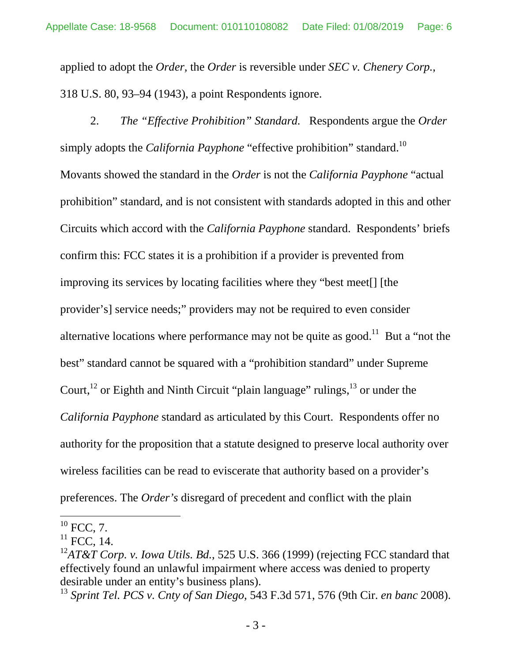applied to adopt the *Order,* the *Order* is reversible under *SEC v. Chenery Corp.*, 318 U.S. 80, 93–94 (1943), a point Respondents ignore.

2. *The "Effective Prohibition" Standard.* Respondents argue the *Order*  simply adopts the *California Payphone* "effective prohibition" standard.<sup>[10](#page-5-0)</sup> Movants showed the standard in the *Order* is not the *California Payphone* "actual prohibition" standard, and is not consistent with standards adopted in this and other Circuits which accord with the *California Payphone* standard. Respondents' briefs confirm this: FCC states it is a prohibition if a provider is prevented from improving its services by locating facilities where they "best meet[] [the provider's] service needs;" providers may not be required to even consider alternative locations where performance may not be quite as good.<sup>[11](#page-5-1)</sup> But a "not the best" standard cannot be squared with a "prohibition standard" under Supreme Court,  $^{12}$  $^{12}$  $^{12}$  or Eighth and Ninth Circuit "plain language" rulings,  $^{13}$  $^{13}$  $^{13}$  or under the *California Payphone* standard as articulated by this Court. Respondents offer no authority for the proposition that a statute designed to preserve local authority over wireless facilities can be read to eviscerate that authority based on a provider's preferences. The *Order's* disregard of precedent and conflict with the plain

<span id="page-5-0"></span> $^{10}$  FCC, 7.

<span id="page-5-1"></span> $11$  FCC, 14.

<span id="page-5-2"></span><sup>12</sup>*AT&T Corp. v. Iowa Utils. Bd.*, 525 U.S. 366 (1999) (rejecting FCC standard that effectively found an unlawful impairment where access was denied to property desirable under an entity's business plans).

<span id="page-5-3"></span><sup>13</sup> *Sprint Tel. PCS v. Cnty of San Diego*, 543 F.3d 571, 576 (9th Cir. *en banc* 2008).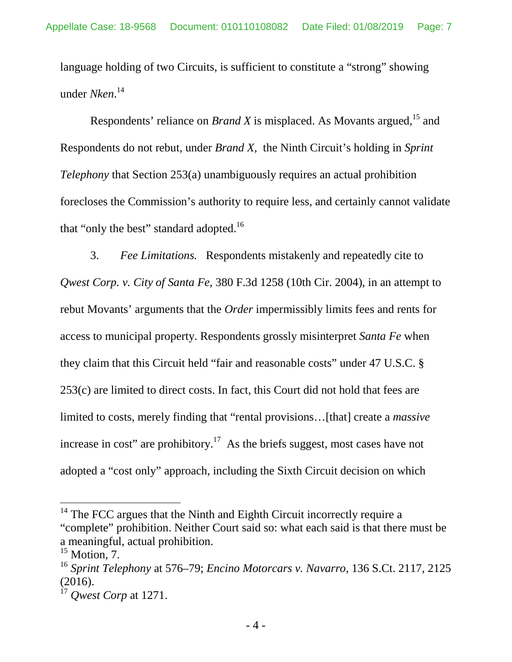language holding of two Circuits, is sufficient to constitute a "strong" showing under *Nken*. [14](#page-6-0)

Respondents' reliance on *Brand X* is misplaced. As Movants argued,<sup>[15](#page-6-1)</sup> and Respondents do not rebut, under *Brand X,* the Ninth Circuit's holding in *Sprint Telephony* that Section 253(a) unambiguously requires an actual prohibition forecloses the Commission's authority to require less, and certainly cannot validate that "only the best" standard adopted.<sup>[16](#page-6-2)</sup>

3. *Fee Limitations.* Respondents mistakenly and repeatedly cite to *Qwest Corp. v. City of Santa Fe*, 380 F.3d 1258 (10th Cir. 2004), in an attempt to rebut Movants' arguments that the *Order* impermissibly limits fees and rents for access to municipal property. Respondents grossly misinterpret *Santa Fe* when they claim that this Circuit held "fair and reasonable costs" under 47 U.S.C. § 253(c) are limited to direct costs. In fact, this Court did not hold that fees are limited to costs, merely finding that "rental provisions…[that] create a *massive* increase in cost" are prohibitory.<sup>[17](#page-6-3)</sup> As the briefs suggest, most cases have not adopted a "cost only" approach, including the Sixth Circuit decision on which

<span id="page-6-0"></span><sup>&</sup>lt;sup>14</sup> The FCC argues that the Ninth and Eighth Circuit incorrectly require a "complete" prohibition. Neither Court said so: what each said is that there must be a meaningful, actual prohibition.

<span id="page-6-1"></span> $15$  Motion, 7.

<span id="page-6-2"></span><sup>16</sup> *Sprint Telephony* at 576–79; *Encino Motorcars v. Navarro*, 136 S.Ct. 2117, 2125 (2016).

<span id="page-6-3"></span><sup>17</sup> *Qwest Corp* at 1271.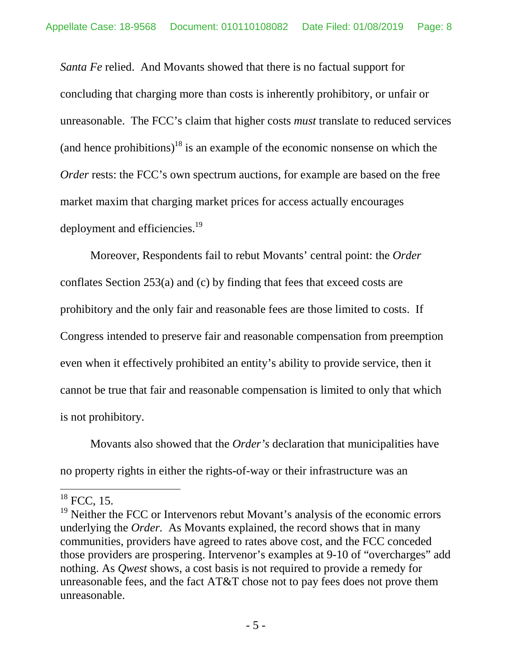*Santa Fe* relied. And Movants showed that there is no factual support for concluding that charging more than costs is inherently prohibitory, or unfair or unreasonable. The FCC's claim that higher costs *must* translate to reduced services (and hence prohibitions)<sup>18</sup> [i](#page-7-0)s an example of the economic nonsense on which the *Order* rests: the FCC's own spectrum auctions, for example are based on the free market maxim that charging market prices for access actually encourages deployment and efficiencies.<sup>[19](#page-7-1)</sup>

Moreover, Respondents fail to rebut Movants' central point: the *Order*  conflates Section 253(a) and (c) by finding that fees that exceed costs are prohibitory and the only fair and reasonable fees are those limited to costs. If Congress intended to preserve fair and reasonable compensation from preemption even when it effectively prohibited an entity's ability to provide service, then it cannot be true that fair and reasonable compensation is limited to only that which is not prohibitory.

Movants also showed that the *Order's* declaration that municipalities have no property rights in either the rights-of-way or their infrastructure was an

<span id="page-7-0"></span> $18$  FCC, 15.

<span id="page-7-1"></span><sup>&</sup>lt;sup>19</sup> Neither the FCC or Intervenors rebut Movant's analysis of the economic errors underlying the *Order.* As Movants explained, the record shows that in many communities, providers have agreed to rates above cost, and the FCC conceded those providers are prospering. Intervenor's examples at 9-10 of "overcharges" add nothing. As *Qwest* shows, a cost basis is not required to provide a remedy for unreasonable fees, and the fact AT&T chose not to pay fees does not prove them unreasonable.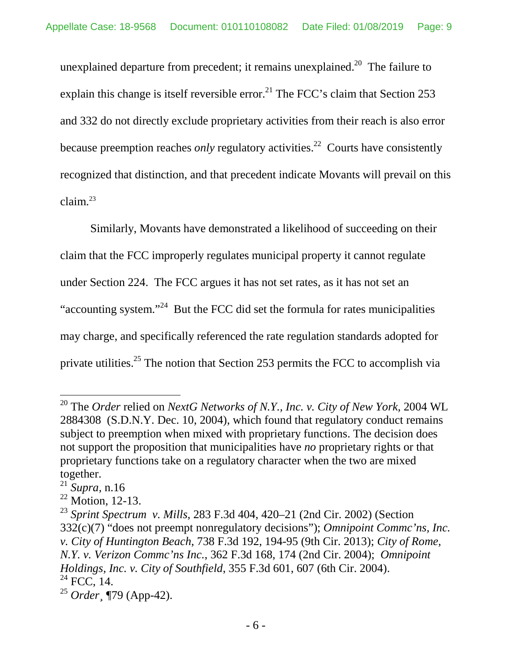unexplaineddeparture from precedent; it remains unexplained.<sup>20</sup> The failure to explain this change is itself reversible error.<sup>[21](#page-8-1)</sup> The FCC's claim that Section 253 and 332 do not directly exclude proprietary activities from their reach is also error because preemption reaches *only* regulatory activities.<sup>[22](#page-8-2)</sup> Courts have consistently recognized that distinction, and that precedent indicate Movants will prevail on this claim.[23](#page-8-3)

Similarly, Movants have demonstrated a likelihood of succeeding on their claim that the FCC improperly regulates municipal property it cannot regulate under Section 224. The FCC argues it has not set rates, as it has not set an "accounting system."[24](#page-8-4) But the FCC did set the formula for rates municipalities may charge, and specifically referenced the rate regulation standards adopted for private utilities.<sup>[25](#page-8-5)</sup> The notion that Section 253 permits the FCC to accomplish via

<span id="page-8-0"></span><sup>20</sup> The *Order* relied on *NextG Networks of N.Y., Inc. v. City of New York,* 2004 WL 2884308 (S.D.N.Y. Dec. 10, 2004), which found that regulatory conduct remains subject to preemption when mixed with proprietary functions. The decision does not support the proposition that municipalities have *no* proprietary rights or that proprietary functions take on a regulatory character when the two are mixed together.

<span id="page-8-1"></span><sup>21</sup> *Supra,* n.16

<span id="page-8-2"></span> $22$  Motion, 12-13.

<span id="page-8-3"></span><sup>23</sup> *Sprint Spectrum v. Mills*, 283 F.3d 404, 420–21 (2nd Cir. 2002) (Section 332(c)(7) "does not preempt nonregulatory decisions"); *Omnipoint Commc'ns, Inc. v. City of Huntington Beach*, 738 F.3d 192, 194-95 (9th Cir. 2013); *City of Rome, N.Y. v. Verizon Commc'ns Inc.*, 362 F.3d 168, 174 (2nd Cir. 2004); *Omnipoint Holdings, Inc. v. City of Southfield*, 355 F.3d 601, 607 (6th Cir. 2004).  $^{24}$  FCC, 14.

<span id="page-8-5"></span><span id="page-8-4"></span><sup>25</sup> *Order¸* ¶79 (App-42).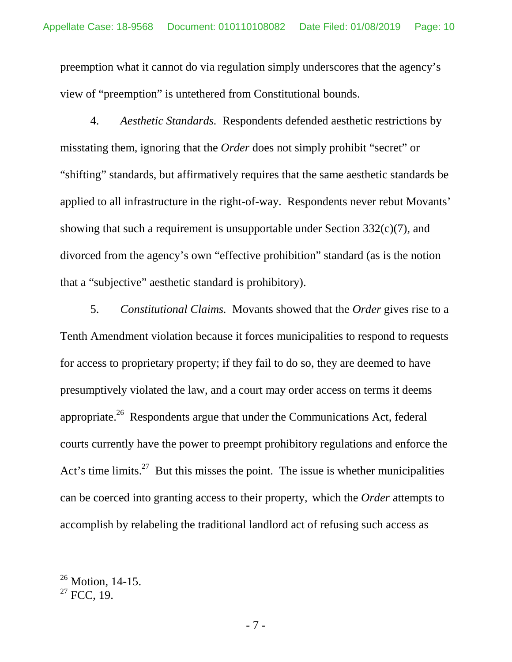preemption what it cannot do via regulation simply underscores that the agency's view of "preemption" is untethered from Constitutional bounds.

4. *Aesthetic Standards.* Respondents defended aesthetic restrictions by misstating them, ignoring that the *Order* does not simply prohibit "secret" or "shifting" standards, but affirmatively requires that the same aesthetic standards be applied to all infrastructure in the right-of-way. Respondents never rebut Movants' showing that such a requirement is unsupportable under Section 332(c)(7), and divorced from the agency's own "effective prohibition" standard (as is the notion that a "subjective" aesthetic standard is prohibitory).

5. *Constitutional Claims.* Movants showed that the *Order* gives rise to a Tenth Amendment violation because it forces municipalities to respond to requests for access to proprietary property; if they fail to do so, they are deemed to have presumptively violated the law, and a court may order access on terms it deems appropriate.<sup>26</sup>Respondents argue that under the Communications Act, federal courts currently have the power to preempt prohibitory regulations and enforce the Act's time limits.<sup>[27](#page-9-1)</sup> But this misses the point. The issue is whether municipalities can be coerced into granting access to their property, which the *Order* attempts to accomplish by relabeling the traditional landlord act of refusing such access as

<span id="page-9-0"></span> $26$  Motion, 14-15.

<span id="page-9-1"></span> $27$  FCC, 19.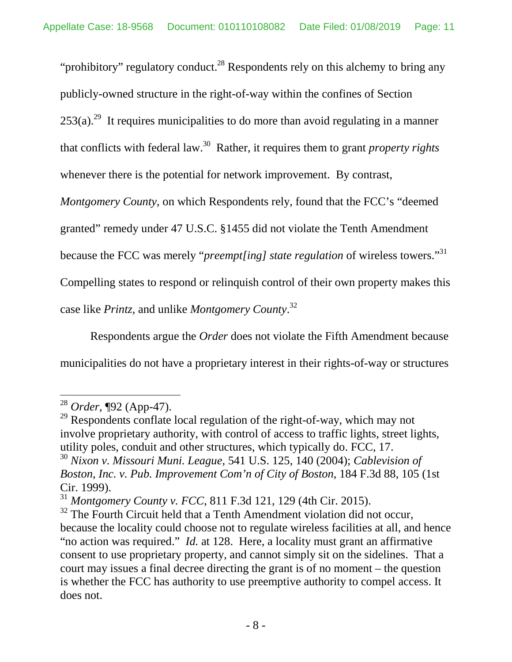"prohibitory" regulatory conduct.<sup>28</sup> [R](#page-10-0)espondents rely on this alchemy to bring any publicly-owned structure in the right-of-way within the confines of Section  $253(a)$ <sup>[29](#page-10-1)</sup> It requires municipalities to do more than avoid regulating in a manner that conflicts with federal law.[30](#page-10-2) Rather, it requires them to grant *property rights* whenever there is the potential for network improvement. By contrast,

*Montgomery County*, on which Respondents rely, found that the FCC's "deemed

granted" remedy under 47 U.S.C. §1455 did not violate the Tenth Amendment

because the FCC was merely "*preempt[ing] state regulation* of wireless towers."[31](#page-10-3)

Compelling states to respond or relinquish control of their own property makes this

case like *Printz,* and unlike *Montgomery County*. [32](#page-10-4)

Respondents argue the *Order* does not violate the Fifth Amendment because municipalities do not have a proprietary interest in their rights-of-way or structures

<span id="page-10-0"></span><sup>28</sup> *Order,* ¶92 (App-47).

<span id="page-10-1"></span><sup>&</sup>lt;sup>29</sup> Respondents conflate local regulation of the right-of-way, which may not involve proprietary authority, with control of access to traffic lights, street lights, utility poles, conduit and other structures, which typically do. FCC, 17.

<span id="page-10-2"></span><sup>30</sup> *Nixon v. Missouri Muni. League*, 541 U.S. 125, 140 (2004); *Cablevision of Boston, Inc. v. Pub. Improvement Com'n of City of Boston*, 184 F.3d 88, 105 (1st Cir. 1999).

<span id="page-10-3"></span><sup>31</sup> *Montgomery County v. FCC*, 811 F.3d 121, 129 (4th Cir. 2015).

<span id="page-10-4"></span> $32$  The Fourth Circuit held that a Tenth Amendment violation did not occur, because the locality could choose not to regulate wireless facilities at all, and hence "no action was required." *Id.* at 128. Here, a locality must grant an affirmative consent to use proprietary property, and cannot simply sit on the sidelines. That a court may issues a final decree directing the grant is of no moment – the question is whether the FCC has authority to use preemptive authority to compel access. It does not.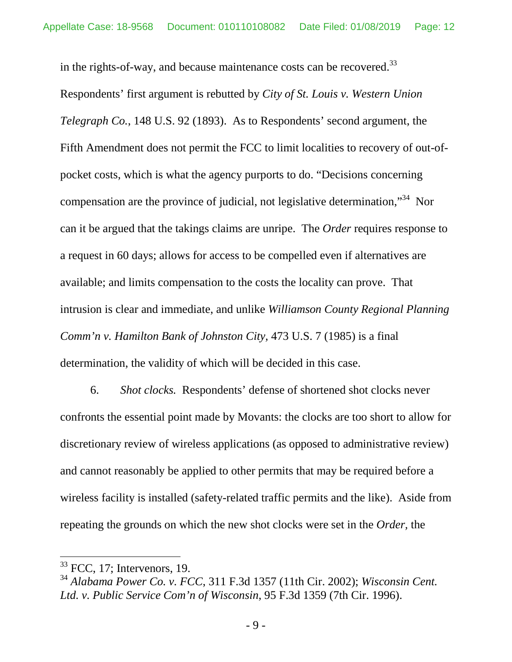in the rights-of-way, and because maintenance costs can be recovered.<sup>[33](#page-11-0)</sup>

Respondents' first argument is rebutted by *City of St. Louis v. Western Union Telegraph Co.*, 148 U.S. 92 (1893). As to Respondents' second argument, the Fifth Amendment does not permit the FCC to limit localities to recovery of out-ofpocket costs, which is what the agency purports to do. "Decisions concerning compensation are the province of judicial, not legislative determination,"[34](#page-11-1) Nor can it be argued that the takings claims are unripe. The *Order* requires response to a request in 60 days; allows for access to be compelled even if alternatives are available; and limits compensation to the costs the locality can prove. That intrusion is clear and immediate, and unlike *Williamson County Regional Planning Comm'n v. Hamilton Bank of Johnston City,* 473 U.S. 7 (1985) is a final determination, the validity of which will be decided in this case.

6. *Shot clocks.* Respondents' defense of shortened shot clocks never confronts the essential point made by Movants: the clocks are too short to allow for discretionary review of wireless applications (as opposed to administrative review) and cannot reasonably be applied to other permits that may be required before a wireless facility is installed (safety-related traffic permits and the like). Aside from repeating the grounds on which the new shot clocks were set in the *Order,* the

<span id="page-11-0"></span> $33$  FCC, 17; Intervenors, 19.

<span id="page-11-1"></span><sup>34</sup> *Alabama Power Co. v. FCC*, 311 F.3d 1357 (11th Cir. 2002); *Wisconsin Cent. Ltd. v. Public Service Com'n of Wisconsin*, 95 F.3d 1359 (7th Cir. 1996).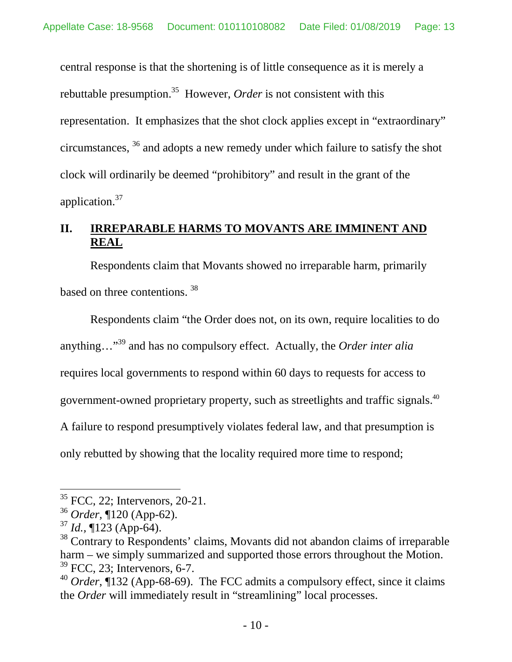central response is that the shortening is of little consequence as it is merely a rebuttablepresumption.<sup>35</sup> However, *Order* is not consistent with this representation. It emphasizes that the shot clock applies except in "extraordinary" circumstances, [36](#page-12-1) and adopts a new remedy under which failure to satisfy the shot clock will ordinarily be deemed "prohibitory" and result in the grant of the application.[37](#page-12-2)

# **II. IRREPARABLE HARMS TO MOVANTS ARE IMMINENT AND REAL**

Respondents claim that Movants showed no irreparable harm, primarily based on three contentions. [38](#page-12-3)

Respondents claim "the Order does not, on its own, require localities to do anything…"<sup>39</sup> [a](#page-12-4)nd has no compulsory effect. Actually, the *Order inter alia* requires local governments to respond within 60 days to requests for access to government-owned proprietary property, such as streetlights and traffic signals.[40](#page-12-5) A failure to respond presumptively violates federal law, and that presumption is only rebutted by showing that the locality required more time to respond;

<span id="page-12-0"></span> $35$  FCC, 22; Intervenors, 20-21.

<span id="page-12-1"></span><sup>36</sup> *Order,* ¶120 (App-62).

<span id="page-12-2"></span><sup>37</sup> *Id.,* ¶123 (App-64).

<span id="page-12-3"></span><sup>&</sup>lt;sup>38</sup> Contrary to Respondents' claims, Movants did not abandon claims of irreparable harm – we simply summarized and supported those errors throughout the Motion.  $39$  FCC, 23; Intervenors, 6-7.

<span id="page-12-5"></span><span id="page-12-4"></span><sup>40</sup> *Order*, ¶132 (App-68-69). The FCC admits a compulsory effect, since it claims the *Order* will immediately result in "streamlining" local processes.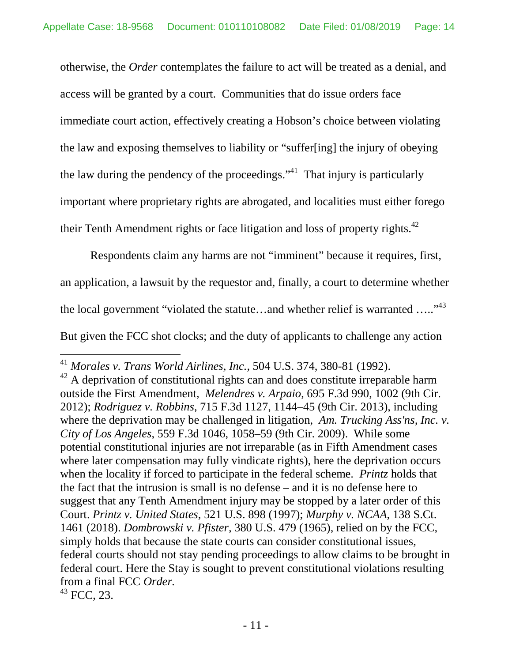otherwise, the *Order* contemplates the failure to act will be treated as a denial, and access will be granted by a court. Communities that do issue orders face immediate court action, effectively creating a Hobson's choice between violating the law and exposing themselves to liability or "suffer[ing] the injury of obeying the law during the pendency of the proceedings."<sup>[41](#page-13-0)</sup> That injury is particularly important where proprietary rights are abrogated, and localities must either forego their Tenth Amendment rights or face litigation and loss of property rights.<sup>[42](#page-13-1)</sup>

Respondents claim any harms are not "imminent" because it requires, first, an application, a lawsuit by the requestor and, finally, a court to determine whether the local government "violated the statute...and whether relief is warranted  $\ldots$ "<sup>[43](#page-13-2)</sup> But given the FCC shot clocks; and the duty of applicants to challenge any action

<span id="page-13-2"></span><sup>43</sup> FCC, 23.

<span id="page-13-0"></span><sup>41</sup> *Morales v. Trans World Airlines, Inc.*, 504 U.S. 374, 380-81 (1992).

<span id="page-13-1"></span> $42$  A deprivation of constitutional rights can and does constitute irreparable harm outside the First Amendment, *Melendres v. Arpaio*, 695 F.3d 990, 1002 (9th Cir. 2012); *Rodriguez v. Robbins*, 715 F.3d 1127, 1144–45 (9th Cir. 2013), including where the deprivation may be challenged in litigation, *Am. Trucking Ass'ns, Inc. v. City of Los Angeles*, 559 F.3d 1046, 1058–59 (9th Cir. 2009). While some potential constitutional injuries are not irreparable (as in Fifth Amendment cases where later compensation may fully vindicate rights), here the deprivation occurs when the locality if forced to participate in the federal scheme. *Printz* holds that the fact that the intrusion is small is no defense – and it is no defense here to suggest that any Tenth Amendment injury may be stopped by a later order of this Court. *Printz v. United States*, 521 U.S. 898 (1997); *Murphy v. NCAA*, 138 S.Ct. 1461 (2018). *Dombrowski v. Pfister,* 380 U.S. 479 (1965), relied on by the FCC, simply holds that because the state courts can consider constitutional issues, federal courts should not stay pending proceedings to allow claims to be brought in federal court. Here the Stay is sought to prevent constitutional violations resulting from a final FCC *Order.*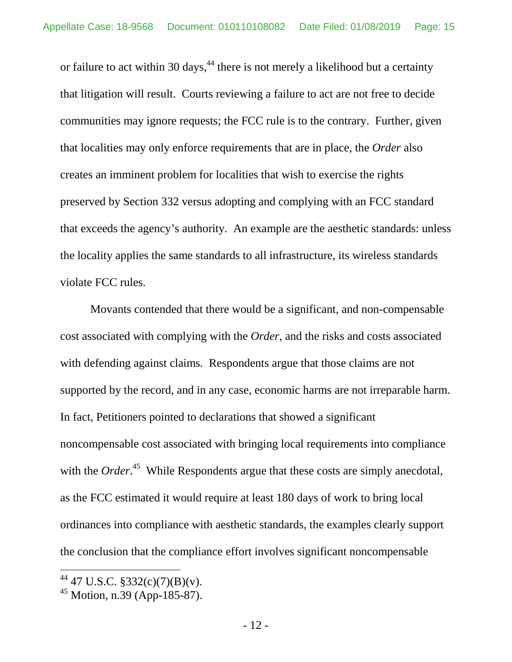or failure to act within 30 days,  $44$  there is not merely a likelihood but a certainty that litigation will result. Courts reviewing a failure to act are not free to decide communities may ignore requests; the FCC rule is to the contrary. Further, given that localities may only enforce requirements that are in place, the *Order* also creates an imminent problem for localities that wish to exercise the rights preserved by Section 332 versus adopting and complying with an FCC standard that exceeds the agency's authority. An example are the aesthetic standards: unless the locality applies the same standards to all infrastructure, its wireless standards violate FCC rules.

Movants contended that there would be a significant, and non-compensable cost associated with complying with the *Order*, and the risks and costs associated with defending against claims*.* Respondents argue that those claims are not supported by the record, and in any case, economic harms are not irreparable harm. In fact, Petitioners pointed to declarations that showed a significant noncompensable cost associated with bringing local requirements into compliance with the *Order*.<sup>[45](#page-14-1)</sup> While Respondents argue that these costs are simply anecdotal, as the FCC estimated it would require at least 180 days of work to bring local ordinances into compliance with aesthetic standards, the examples clearly support the conclusion that the compliance effort involves significant noncompensable

<span id="page-14-0"></span> $^{44}$  47 U.S.C. §332(c)(7)(B)(v).

<span id="page-14-1"></span><sup>45</sup> Motion, n.39 (App-185-87).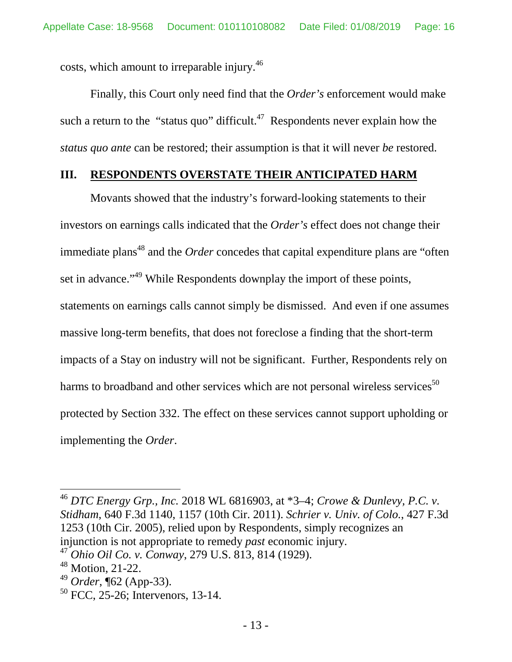costs, which amount to irreparable injury.[46](#page-15-0)

Finally, this Court only need find that the *Order's* enforcement would make sucha return to the "status quo" difficult.<sup>47</sup> Respondents never explain how the *status quo ante* can be restored; their assumption is that it will never *be* restored.

## **III. RESPONDENTS OVERSTATE THEIR ANTICIPATED HARM**

Movants showed that the industry's forward-looking statements to their investors on earnings calls indicated that the *Order's* effect does not change their immediate plans<sup>[48](#page-15-2)</sup> and the *Order* concedes that capital expenditure plans are "often set in advance."<sup>[49](#page-15-3)</sup> While Respondents downplay the import of these points, statements on earnings calls cannot simply be dismissed. And even if one assumes massive long-term benefits, that does not foreclose a finding that the short-term impacts of a Stay on industry will not be significant. Further, Respondents rely on harms to broadband and other services which are not personal wireless services<sup>[50](#page-15-4)</sup> protected by Section 332. The effect on these services cannot support upholding or implementing the *Order*.

<span id="page-15-0"></span><sup>46</sup> *DTC Energy Grp., Inc.* 2018 WL 6816903, at \*3–4; *Crowe & Dunlevy, P.C. v. Stidham*, 640 F.3d 1140, 1157 (10th Cir. 2011). *Schrier v. Univ. of Colo.*, 427 F.3d 1253 (10th Cir. 2005), relied upon by Respondents, simply recognizes an injunction is not appropriate to remedy *past* economic injury.

<span id="page-15-1"></span><sup>47</sup> *Ohio Oil Co. v. Conway*, 279 U.S. 813, 814 (1929).

<span id="page-15-2"></span><sup>48</sup> Motion, 21-22.

<span id="page-15-3"></span><sup>49</sup> *Order*, ¶62 (App-33).

<span id="page-15-4"></span><sup>&</sup>lt;sup>50</sup> FCC, 25-26; Intervenors, 13-14.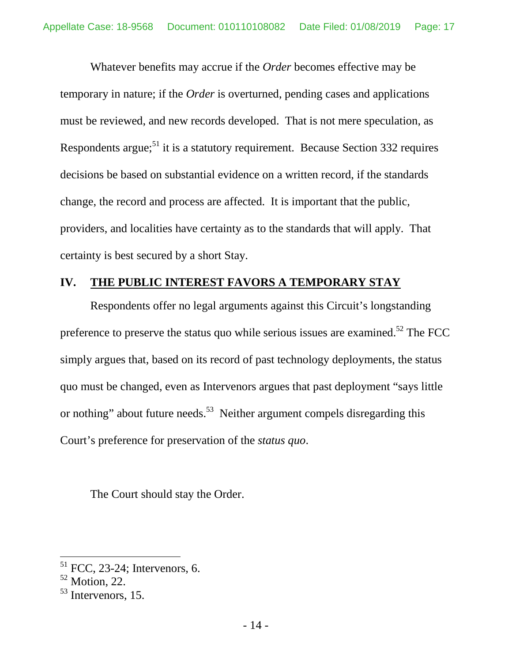Whatever benefits may accrue if the *Order* becomes effective may be temporary in nature; if the *Order* is overturned, pending cases and applications must be reviewed, and new records developed. That is not mere speculation, as Respondents argue;  $51$  it is a statutory requirement. Because Section 332 requires decisions be based on substantial evidence on a written record, if the standards change, the record and process are affected. It is important that the public, providers, and localities have certainty as to the standards that will apply. That certainty is best secured by a short Stay.

# **IV. THE PUBLIC INTEREST FAVORS A TEMPORARY STAY**

Respondents offer no legal arguments against this Circuit's longstanding preference to preserve the status quo while serious issues are examined.<sup>[52](#page-16-1)</sup> The FCC simply argues that, based on its record of past technology deployments, the status quo must be changed, even as Intervenors argues that past deployment "says little or nothing" about future needs.<sup>[53](#page-16-2)</sup> Neither argument compels disregarding this Court's preference for preservation of the *status quo*.

The Court should stay the Order.

<span id="page-16-0"></span> $51$  FCC, 23-24; Intervenors, 6.

<span id="page-16-1"></span> $52$  Motion, 22.

<span id="page-16-2"></span><sup>53</sup> Intervenors, 15.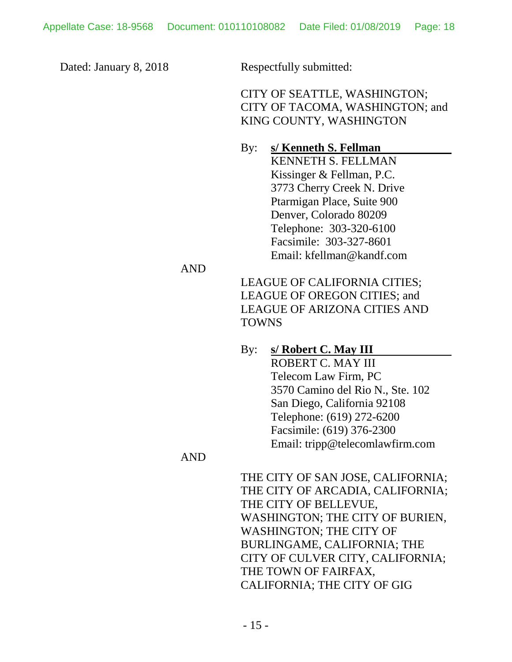Dated: January 8, 2018 Respectfully submitted:

CITY OF SEATTLE, WASHINGTON; CITY OF TACOMA, WASHINGTON; and KING COUNTY, WASHINGTON

By: **s/ Kenneth S. Fellman**  KENNETH S. FELLMAN Kissinger & Fellman, P.C. 3773 Cherry Creek N. Drive Ptarmigan Place, Suite 900 Denver, Colorado 80209 Telephone: 303-320-6100 Facsimile: 303-327-8601 Email: kfellman@kandf.com

AND

LEAGUE OF CALIFORNIA CITIES; LEAGUE OF OREGON CITIES; and LEAGUE OF ARIZONA CITIES AND TOWNS

## By: **s/ Robert C. May III**

ROBERT C. MAY III Telecom Law Firm, PC 3570 Camino del Rio N., Ste. 102 San Diego, California 92108 Telephone: (619) 272-6200 Facsimile: (619) 376-2300 Email: tripp@telecomlawfirm.com

### AND

THE CITY OF SAN JOSE, CALIFORNIA; THE CITY OF ARCADIA, CALIFORNIA; THE CITY OF BELLEVUE, WASHINGTON; THE CITY OF BURIEN, WASHINGTON; THE CITY OF BURLINGAME, CALIFORNIA; THE CITY OF CULVER CITY, CALIFORNIA; THE TOWN OF FAIRFAX, CALIFORNIA; THE CITY OF GIG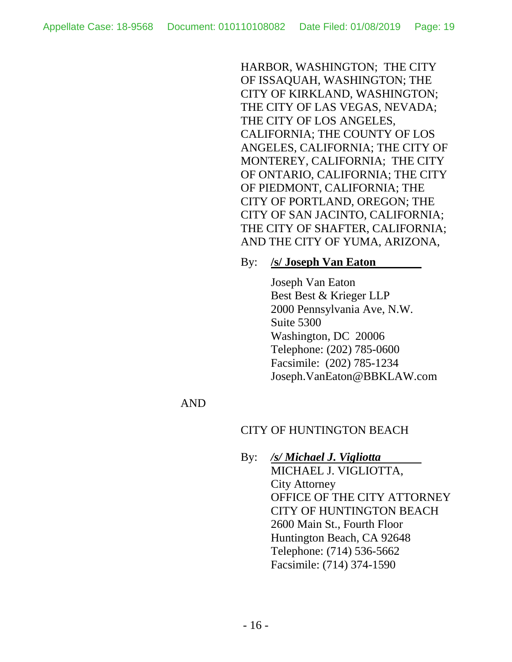HARBOR, WASHINGTON; THE CITY OF ISSAQUAH, WASHINGTON; THE CITY OF KIRKLAND, WASHINGTON; THE CITY OF LAS VEGAS, NEVADA; THE CITY OF LOS ANGELES, CALIFORNIA; THE COUNTY OF LOS ANGELES, CALIFORNIA; THE CITY OF MONTEREY, CALIFORNIA; THE CITY OF ONTARIO, CALIFORNIA; THE CITY OF PIEDMONT, CALIFORNIA; THE CITY OF PORTLAND, OREGON; THE CITY OF SAN JACINTO, CALIFORNIA; THE CITY OF SHAFTER, CALIFORNIA; AND THE CITY OF YUMA, ARIZONA,

#### By: **/s/ Joseph Van Eaton**

Joseph Van Eaton Best Best & Krieger LLP 2000 Pennsylvania Ave, N.W. Suite 5300 Washington, DC 20006 Telephone: (202) 785-0600 Facsimile: (202) 785-1234 Joseph.VanEaton@BBKLAW.com

### AND

### CITY OF HUNTINGTON BEACH

By: */s/ Michael J. Vigliotta* MICHAEL J. VIGLIOTTA, City Attorney OFFICE OF THE CITY ATTORNEY CITY OF HUNTINGTON BEACH 2600 Main St., Fourth Floor Huntington Beach, CA 92648 Telephone: (714) 536-5662 Facsimile: (714) 374-1590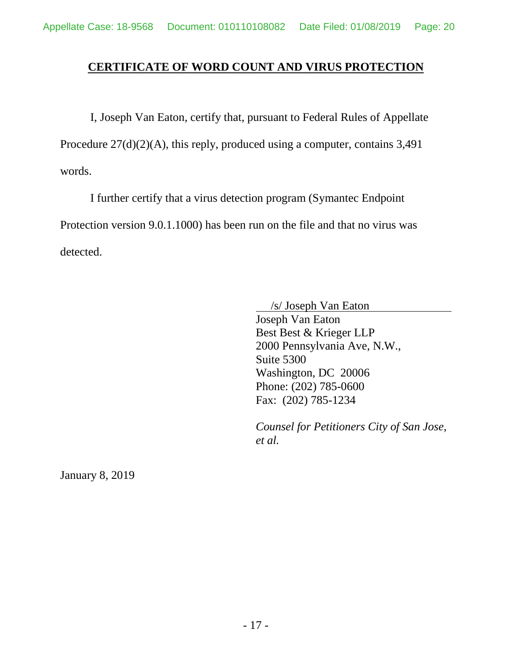### **CERTIFICATE OF WORD COUNT AND VIRUS PROTECTION**

I, Joseph Van Eaton, certify that, pursuant to Federal Rules of Appellate Procedure 27(d)(2)(A), this reply, produced using a computer, contains 3,491 words.

I further certify that a virus detection program (Symantec Endpoint Protection version 9.0.1.1000) has been run on the file and that no virus was detected.

/s/ Joseph Van Eaton

Joseph Van Eaton Best Best & Krieger LLP 2000 Pennsylvania Ave, N.W., Suite 5300 Washington, DC 20006 Phone: (202) 785-0600 Fax: (202) 785-1234

*Counsel for Petitioners City of San Jose, et al.* 

January 8, 2019